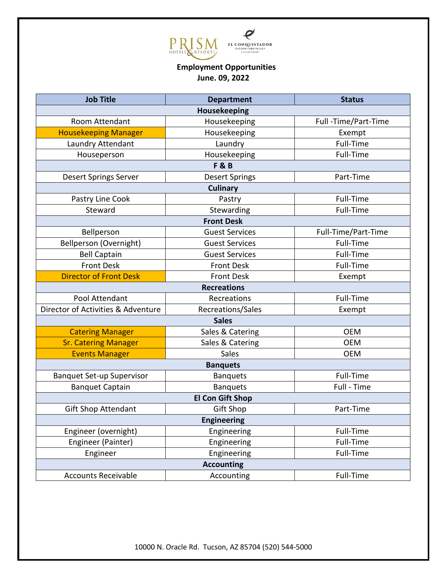

## **Employment Opportunities June. 09, 2022**

| <b>Job Title</b>                   | <b>Department</b>     | <b>Status</b>       |
|------------------------------------|-----------------------|---------------------|
| Housekeeping                       |                       |                     |
| Room Attendant                     | Housekeeping          | Full-Time/Part-Time |
| <b>Housekeeping Manager</b>        | Housekeeping          | Exempt              |
| Laundry Attendant                  | Laundry               | Full-Time           |
| Houseperson                        | Housekeeping          | Full-Time           |
| <b>F&amp;B</b>                     |                       |                     |
| <b>Desert Springs Server</b>       | <b>Desert Springs</b> | Part-Time           |
| <b>Culinary</b>                    |                       |                     |
| Pastry Line Cook                   | Pastry                | Full-Time           |
| Steward                            | Stewarding            | Full-Time           |
| <b>Front Desk</b>                  |                       |                     |
| Bellperson                         | <b>Guest Services</b> | Full-Time/Part-Time |
| Bellperson (Overnight)             | <b>Guest Services</b> | Full-Time           |
| <b>Bell Captain</b>                | <b>Guest Services</b> | Full-Time           |
| <b>Front Desk</b>                  | <b>Front Desk</b>     | Full-Time           |
| <b>Director of Front Desk</b>      | <b>Front Desk</b>     | Exempt              |
| <b>Recreations</b>                 |                       |                     |
| Pool Attendant                     | Recreations           | Full-Time           |
| Director of Activities & Adventure | Recreations/Sales     | Exempt              |
| <b>Sales</b>                       |                       |                     |
| <b>Catering Manager</b>            | Sales & Catering      | <b>OEM</b>          |
| <b>Sr. Catering Manager</b>        | Sales & Catering      | <b>OEM</b>          |
| <b>Events Manager</b>              | Sales                 | <b>OEM</b>          |
| <b>Banquets</b>                    |                       |                     |
| <b>Banquet Set-up Supervisor</b>   | <b>Banquets</b>       | Full-Time           |
| <b>Banquet Captain</b>             | <b>Banquets</b>       | Full - Time         |
| <b>El Con Gift Shop</b>            |                       |                     |
| <b>Gift Shop Attendant</b>         | <b>Gift Shop</b>      | Part-Time           |
| <b>Engineering</b>                 |                       |                     |
| Engineer (overnight)               | Engineering           | Full-Time           |
| Engineer (Painter)                 | Engineering           | Full-Time           |
| Engineer                           | Engineering           | Full-Time           |
| <b>Accounting</b>                  |                       |                     |
| <b>Accounts Receivable</b>         | Accounting            | Full-Time           |